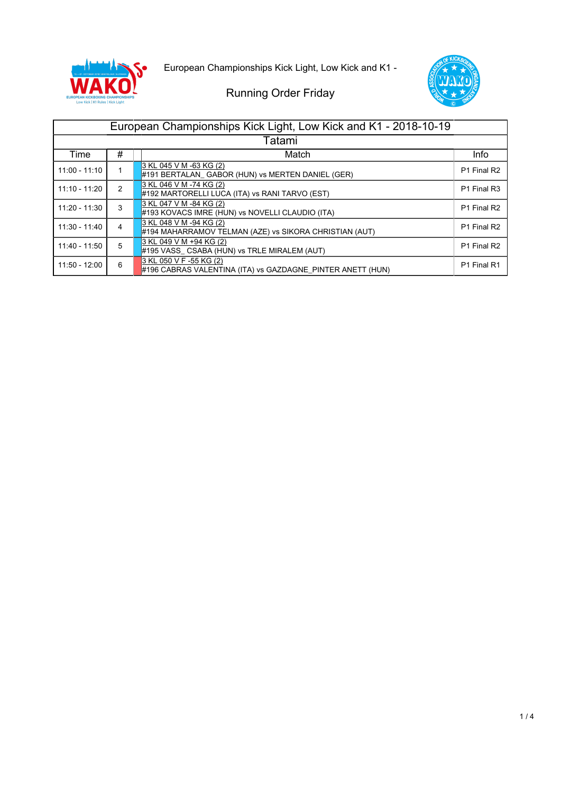

European Championships Kick Light, Low Kick and K1 -



|                 |                | European Championships Kick Light, Low Kick and K1 - 2018-10-19                       |             |  |  |
|-----------------|----------------|---------------------------------------------------------------------------------------|-------------|--|--|
| Tatami          |                |                                                                                       |             |  |  |
| Time            | #              | Match                                                                                 | Info        |  |  |
| $11:00 - 11:10$ |                | 3 KL 045 V M -63 KG (2)<br>$#191$ BERTALAN GABOR (HUN) vs MERTEN DANIEL (GER)         | P1 Final R2 |  |  |
| 11:10 - 11:20   | $\mathfrak{p}$ | 3 KL 046 V M -74 KG (2)<br>#192 MARTORELLI LUCA (ITA) vs RANI TARVO (EST)             | P1 Final R3 |  |  |
| 11:20 - 11:30   | 3              | 3 KL 047 V M -84 KG (2)<br>#193 KOVACS IMRE (HUN) vs NOVELLI CLAUDIO (ITA)            | P1 Final R2 |  |  |
| $11:30 - 11:40$ | 4              | 3 KL 048 V M -94 KG (2)<br>#194 MAHARRAMOV TELMAN (AZE) vs SIKORA CHRISTIAN (AUT)     | P1 Final R2 |  |  |
| 11:40 - 11:50   | 5              | 3 KL 049 V M +94 KG (2)<br>#195 VASS CSABA (HUN) vs TRLE MIRALEM (AUT)                | P1 Final R2 |  |  |
| 11:50 - 12:00   | 6              | 3 KL 050 V F -55 KG (2)<br>#196 CABRAS VALENTINA (ITA) vs GAZDAGNE PINTER ANETT (HUN) | P1 Final R1 |  |  |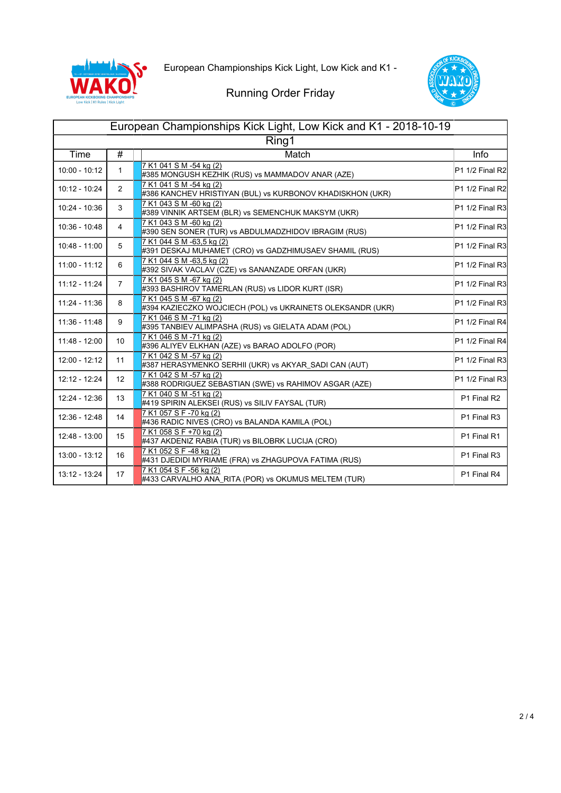



| European Championships Kick Light, Low Kick and K1 - 2018-10-19 |                 |                                                                                       |                                         |  |  |
|-----------------------------------------------------------------|-----------------|---------------------------------------------------------------------------------------|-----------------------------------------|--|--|
| Ring1                                                           |                 |                                                                                       |                                         |  |  |
| Time                                                            | $\overline{\#}$ | Match                                                                                 | Info                                    |  |  |
| $10:00 - 10:12$                                                 | $\mathbf{1}$    | 7 K1 041 S M -54 kg (2)<br>#385 MONGUSH KEZHIK (RUS) vs MAMMADOV ANAR (AZE)           | P1 1/2 Final R2                         |  |  |
| 10:12 - 10:24                                                   | $\overline{2}$  | 7 K1 041 S M -54 kg (2)<br>#386 KANCHEV HRISTIYAN (BUL) vs KURBONOV KHADISKHON (UKR)  | P1 1/2 Final R2                         |  |  |
| 10:24 - 10:36                                                   | 3               | 7 K1 043 S M -60 kg (2)<br>#389 VINNIK ARTSEM (BLR) vs SEMENCHUK MAKSYM (UKR)         | P1 1/2 Final R3                         |  |  |
| 10:36 - 10:48                                                   | $\overline{4}$  | 7 K1 043 S M -60 kg (2)<br>#390 SEN SONER (TUR) vs ABDULMADZHIDOV IBRAGIM (RUS)       | P <sub>1</sub> 1/2 Final R <sub>3</sub> |  |  |
| 10:48 - 11:00                                                   | 5               | 7 K1 044 S M -63,5 kg (2)<br>#391 DESKAJ MUHAMET (CRO) vs GADZHIMUSAEV SHAMIL (RUS)   | P1 1/2 Final R3                         |  |  |
| $11:00 - 11:12$                                                 | 6               | 7 K1 044 S M -63,5 kg (2)<br>#392 SIVAK VACLAV (CZE) vs SANANZADE ORFAN (UKR)         | P1 1/2 Final R3                         |  |  |
| $11:12 - 11:24$                                                 | $\overline{7}$  | 7 K1 045 S M -67 kg (2)<br>#393 BASHIROV TAMERLAN (RUS) vs LIDOR KURT (ISR)           | P <sub>1</sub> 1/2 Final R <sub>3</sub> |  |  |
| 11:24 - 11:36                                                   | 8               | 7 K1 045 S M -67 kg (2)<br>#394 KAZIECZKO WOJCIECH (POL) vs UKRAINETS OLEKSANDR (UKR) | P <sub>1</sub> 1/2 Final R <sub>3</sub> |  |  |
| $11:36 - 11:48$                                                 | 9               | 7 K1 046 S M -71 kg (2)<br>#395 TANBIEV ALIMPASHA (RUS) vs GIELATA ADAM (POL)         | P1 1/2 Final R4                         |  |  |
| 11:48 - 12:00                                                   | 10              | 7 K1 046 S M -71 kg (2)<br>#396 ALIYEV ELKHAN (AZE) vs BARAO ADOLFO (POR)             | P1 1/2 Final R4                         |  |  |
| 12:00 - 12:12                                                   | 11              | 7 K1 042 S M -57 kg (2)<br>#387 HERASYMENKO SERHII (UKR) vs AKYAR_SADI CAN (AUT)      | P <sub>1</sub> 1/2 Final R <sub>3</sub> |  |  |
| 12:12 - 12:24                                                   | 12              | 7 K1 042 S M -57 kg (2)<br>#388 RODRIGUEZ SEBASTIAN (SWE) vs RAHIMOV ASGAR (AZE)      | P <sub>1</sub> 1/2 Final R <sub>3</sub> |  |  |
| 12:24 - 12:36                                                   | 13              | 7 K1 040 S M -51 kg (2)<br>#419 SPIRIN ALEKSEI (RUS) vs SILIV FAYSAL (TUR)            | P1 Final R2                             |  |  |
| 12:36 - 12:48                                                   | 14              | 7 K1 057 S F -70 kg (2)<br>#436 RADIC NIVES (CRO) vs BALANDA KAMILA (POL)             | P1 Final R3                             |  |  |
| 12:48 - 13:00                                                   | 15              | 7 K1 058 S F +70 kg (2)<br>#437 AKDENIZ RABIA (TUR) vs BILOBRK LUCIJA (CRO)           | P1 Final R1                             |  |  |
| 13:00 - 13:12                                                   | 16              | 7 K1 052 S F -48 kg (2)<br>#431 DJEDIDI MYRIAME (FRA) vs ZHAGUPOVA FATIMA (RUS)       | P1 Final R3                             |  |  |
| 13:12 - 13:24                                                   | 17              | 7 K1 054 S F -56 kg (2)<br>#433 CARVALHO ANA_RITA (POR) vs OKUMUS MELTEM (TUR)        | P1 Final R4                             |  |  |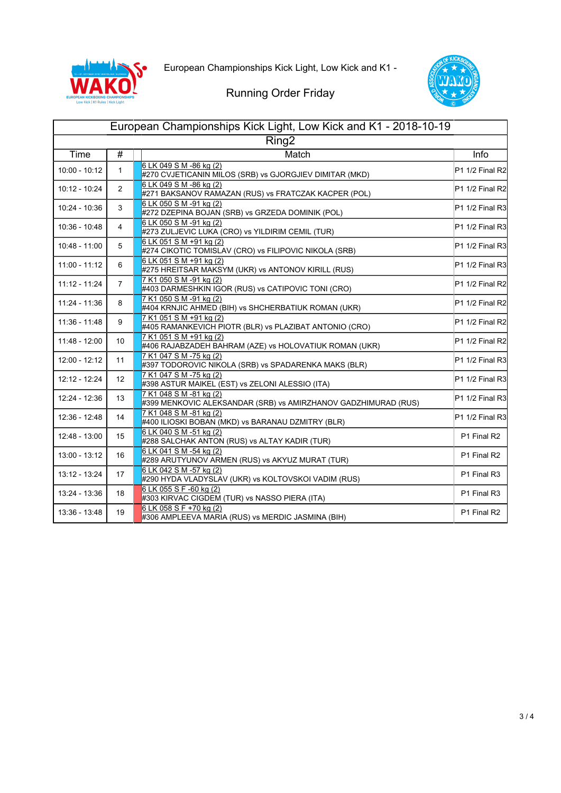



| European Championships Kick Light, Low Kick and K1 - 2018-10-19 |                 |                                                                                           |                                         |  |  |  |
|-----------------------------------------------------------------|-----------------|-------------------------------------------------------------------------------------------|-----------------------------------------|--|--|--|
| Ring <sub>2</sub>                                               |                 |                                                                                           |                                         |  |  |  |
| Time                                                            | $\overline{\#}$ | Match                                                                                     | Info                                    |  |  |  |
| $10:00 - 10:12$                                                 | $\mathbf{1}$    | 6 LK 049 S M -86 kg (2)<br>#270 CVJETICANIN MILOS (SRB) vs GJORGJIEV DIMITAR (MKD)        | P1 1/2 Final R2                         |  |  |  |
| 10:12 - 10:24                                                   | $\overline{2}$  | 6 LK 049 S M -86 kg (2)<br>#271 BAKSANOV RAMAZAN (RUS) vs FRATCZAK KACPER (POL)           | P1 1/2 Final R2                         |  |  |  |
| 10:24 - 10:36                                                   | 3               | 6 LK 050 S M -91 kg (2)<br>#272 DZEPINA BOJAN (SRB) vs GRZEDA DOMINIK (POL)               | P1 1/2 Final R3                         |  |  |  |
| 10:36 - 10:48                                                   | 4               | 6 LK 050 S M -91 kg (2)<br>#273 ZULJEVIC LUKA (CRO) vs YILDIRIM CEMIL (TUR)               | P1 1/2 Final R3                         |  |  |  |
| 10:48 - 11:00                                                   | 5               | 6 LK 051 S M +91 kg (2)<br>#274 CIKOTIC TOMISLAV (CRO) vs FILIPOVIC NIKOLA (SRB)          | P1 1/2 Final R3                         |  |  |  |
| $11:00 - 11:12$                                                 | 6               | 6 LK 051 S M +91 kg (2)<br>#275 HREITSAR MAKSYM (UKR) vs ANTONOV KIRILL (RUS)             | P1 1/2 Final R3                         |  |  |  |
| 11:12 - 11:24                                                   | $\overline{7}$  | 7 K1 050 S M -91 kg (2)<br>#403 DARMESHKIN IGOR (RUS) vs CATIPOVIC TONI (CRO)             | P1 1/2 Final R2                         |  |  |  |
| 11:24 - 11:36                                                   | 8               | 7 K1 050 S M -91 kg (2)<br>#404 KRNJIC AHMED (BIH) vs SHCHERBATIUK ROMAN (UKR)            | P1 1/2 Final R2                         |  |  |  |
| $11:36 - 11:48$                                                 | 9               | 7 K1 051 S M +91 kg (2)<br>#405 RAMANKEVICH PIOTR (BLR) vs PLAZIBAT ANTONIO (CRO)         | P1 1/2 Final R2                         |  |  |  |
| 11:48 - 12:00                                                   | 10              | 7 K1 051 S M +91 kg (2)<br>#406 RAJABZADEH BAHRAM (AZE) vs HOLOVATIUK ROMAN (UKR)         | P1 1/2 Final R2                         |  |  |  |
| 12:00 - 12:12                                                   | 11              | 7 K1 047 S M -75 kg (2)<br>#397 TODOROVIC NIKOLA (SRB) vs SPADARENKA MAKS (BLR)           | P <sub>1</sub> 1/2 Final R <sub>3</sub> |  |  |  |
| 12:12 - 12:24                                                   | 12 <sup>°</sup> | 7 K1 047 S M -75 kg (2)<br>#398 ASTUR MAIKEL (EST) vs ZELONI ALESSIO (ITA)                | P1 1/2 Final R3                         |  |  |  |
| 12:24 - 12:36                                                   | 13              | 7 K1 048 S M -81 kg (2)<br>#399 MENKOVIC ALEKSANDAR (SRB) vs AMIRZHANOV GADZHIMURAD (RUS) | P1 1/2 Final R3                         |  |  |  |
| 12:36 - 12:48                                                   | 14              | 7 K1 048 S M -81 kg (2)<br>#400 ILIOSKI BOBAN (MKD) vs BARANAU DZMITRY (BLR)              | P1 1/2 Final R3                         |  |  |  |
| 12:48 - 13:00                                                   | 15              | 6 LK 040 S M -51 kg (2)<br>#288 SALCHAK ANTON (RUS) vs ALTAY KADIR (TUR)                  | P1 Final R2                             |  |  |  |
| 13:00 - 13:12                                                   | 16              | 6 LK 041 S M -54 kg (2)<br>#289 ARUTYUNOV ARMEN (RUS) vs AKYUZ MURAT (TUR)                | P1 Final R2                             |  |  |  |
| 13:12 - 13:24                                                   | 17              | 6 LK 042 S M -57 kg (2)<br>#290 HYDA VLADYSLAV (UKR) vs KOLTOVSKOI VADIM (RUS)            | P1 Final R3                             |  |  |  |
| 13:24 - 13:36                                                   | 18              | 6 LK 055 S F -60 kg (2)<br>#303 KIRVAC CIGDEM (TUR) vs NASSO PIERA (ITA)                  | P1 Final R3                             |  |  |  |
| 13:36 - 13:48                                                   | 19              | 6 LK 058 S F +70 kg (2)<br>#306 AMPLEEVA MARIA (RUS) vs MERDIC JASMINA (BIH)              | P1 Final R2                             |  |  |  |